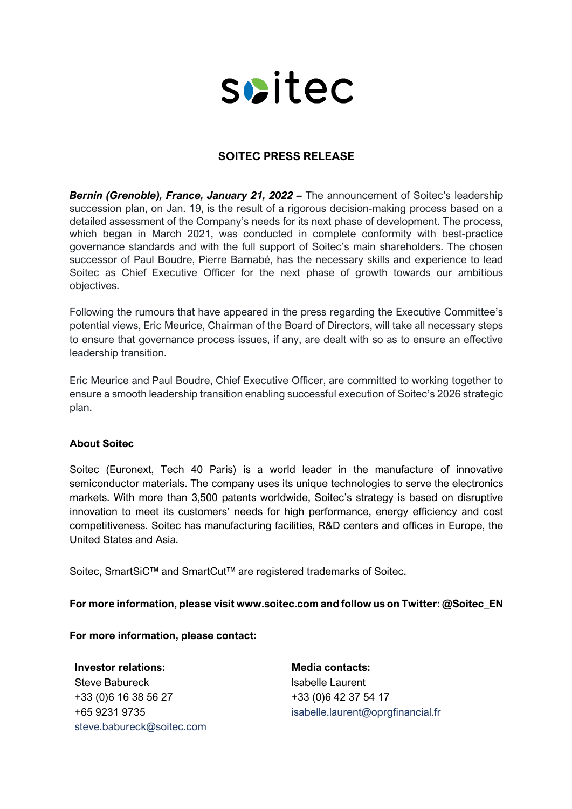

## **SOITEC PRESS RELEASE**

**Bernin (Grenoble), France, January 21, 2022 –** The announcement of Soitec's leadership succession plan, on Jan. 19, is the result of a rigorous decision-making process based on a detailed assessment of the Company's needs for its next phase of development. The process, which began in March 2021, was conducted in complete conformity with best-practice governance standards and with the full support of Soitec's main shareholders. The chosen successor of Paul Boudre, Pierre Barnabé, has the necessary skills and experience to lead Soitec as Chief Executive Officer for the next phase of growth towards our ambitious objectives.

Following the rumours that have appeared in the press regarding the Executive Committee's potential views, Eric Meurice, Chairman of the Board of Directors, will take all necessary steps to ensure that governance process issues, if any, are dealt with so as to ensure an effective leadership transition.

Eric Meurice and Paul Boudre, Chief Executive Officer, are committed to working together to ensure a smooth leadership transition enabling successful execution of Soitec's 2026 strategic plan.

## **About Soitec**

Soitec (Euronext, Tech 40 Paris) is a world leader in the manufacture of innovative semiconductor materials. The company uses its unique technologies to serve the electronics markets. With more than 3,500 patents worldwide, Soitec's strategy is based on disruptive innovation to meet its customers' needs for high performance, energy efficiency and cost competitiveness. Soitec has manufacturing facilities, R&D centers and offices in Europe, the United States and Asia.

Soitec, SmartSiC™ and SmartCut™ are registered trademarks of Soitec.

## **For more information, please visit www.soitec.com and follow us on Twitter: @Soitec\_EN**

**For more information, please contact:**

**Investor relations: Media contacts:** Steve Babureck +33 (0)6 16 38 56 27 +65 9231 9735 steve.babureck@soitec.com

Isabelle Laurent +33 (0)6 42 37 54 17 isabelle.laurent@oprgfinancial.fr